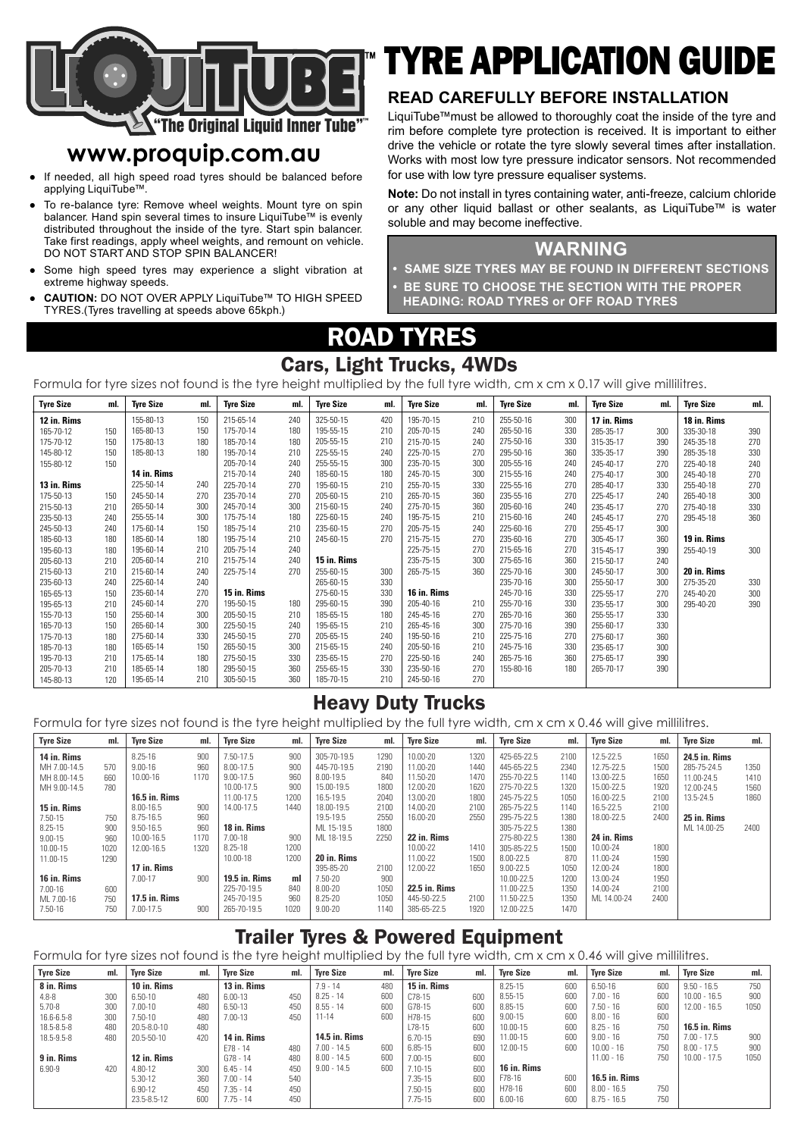

# **www.proquip.com.au**

- If needed, all high speed road tyres should be balanced before applying LiquiTube™.
- To re-balance tyre: Remove wheel weights. Mount tyre on spin balancer. Hand spin several times to insure LiquiTube™ is evenly distributed throughout the inside of the tyre. Start spin balancer. Take first readings, apply wheel weights, and remount on vehicle. DO NOT START AND STOP SPIN BALANCER! ●
- Some high speed tyres may experience a slight vibration at extreme highway speeds. ●
- **CAUTION:** DO NOT OVER APPLY LiquiTube™ TO HIGH SPEED TYRES.(Tyres travelling at speeds above 65kph.) ●

# TYRE APPLICATION GUIDE

#### **READ CAREFULLY BEFORE INSTALLATION**

LiquiTube™must be allowed to thoroughly coat the inside of the tyre and rim before complete tyre protection is received. It is important to either drive the vehicle or rotate the tyre slowly several times after installation. Works with most low tyre pressure indicator sensors. Not recommended for use with low tyre pressure equaliser systems.

**Note:** Do not install in tyres containing water, anti-freeze, calcium chloride or any other liquid ballast or other sealants, as LiquiTube™ is water soluble and may become ineffective.

#### **WARNING**

**• SAME SIZE TYRES MAY BE FOUND IN DIFFERENT SECTIONS • BE SURE TO CHOOSE THE SECTION WITH THE PROPER HEADING: ROAD TYRES or OFF ROAD TYRES**

ROAD TYRES

#### Cars, Light Trucks, 4WDs

Formula for tyre sizes not found is the tyre height multiplied by the full tyre width, cm x cm x 0.17 will give millilitres.

| <b>Tyre Size</b> | ml. | <b>Tyre Size</b> | ml. | <b>Tyre Size</b> | ml. | <b>Tyre Size</b> | ml. | <b>Tyre Size</b> | ml. | <b>Tyre Size</b> | ml. | <b>Tyre Size</b> | ml. | <b>Tyre Size</b> | ml. |
|------------------|-----|------------------|-----|------------------|-----|------------------|-----|------------------|-----|------------------|-----|------------------|-----|------------------|-----|
| 12 in. Rims      |     | 155-80-13        | 150 | 215-65-14        | 240 | 325-50-15        | 420 | 195-70-15        | 210 | 255-50-16        | 300 | 17 in. Rims      |     | 18 in. Rims      |     |
| 165-70-12        | 150 | 165-80-13        | 150 | 175-70-14        | 180 | 195-55-15        | 210 | 205-70-15        | 240 | 265-50-16        | 330 | 285-35-17        | 300 | 335-30-18        | 390 |
| 175-70-12        | 150 | 175-80-13        | 180 | 185-70-14        | 180 | 205-55-15        | 210 | 215-70-15        | 240 | 275-50-16        | 330 | 315-35-17        | 390 | 245-35-18        | 270 |
| 145-80-12        | 150 | 185-80-13        | 180 | 195-70-14        | 210 | 225-55-15        | 240 | 225-70-15        | 270 | 295-50-16        | 360 | 335-35-17        | 390 | 285-35-18        | 330 |
| 155-80-12        | 150 |                  |     | 205-70-14        | 240 | 255-55-15        | 300 | 235-70-15        | 300 | 205-55-16        | 240 | 245-40-17        | 270 | 225-40-18        | 240 |
|                  |     | 14 in. Rims      |     | 215-70-14        | 240 | 185-60-15        | 180 | 245-70-15        | 300 | 215-55-16        | 240 | 275-40-17        | 300 | 245-40-18        | 270 |
| 13 in. Rims      |     | 225-50-14        | 240 | 225-70-14        | 270 | 195-60-15        | 210 | 255-70-15        | 330 | 225-55-16        | 270 | 285-40-17        | 330 | 255-40-18        | 270 |
| 175-50-13        | 150 | 245-50-14        | 270 | 235-70-14        | 270 | 205-60-15        | 210 | 265-70-15        | 360 | 235-55-16        | 270 | 225-45-17        | 240 | 265-40-18        | 300 |
| 215-50-13        | 210 | 265-50-14        | 300 | 245-70-14        | 300 | 215-60-15        | 240 | 275-70-15        | 360 | 205-60-16        | 240 | 235-45-17        | 270 | 275-40-18        | 330 |
| 235-50-13        | 240 | 255-55-14        | 300 | 175-75-14        | 180 | 225-60-15        | 240 | 195-75-15        | 210 | 215-60-16        | 240 | 245-45-17        | 270 | 295-45-18        | 360 |
| 245-50-13        | 240 | 175-60-14        | 150 | 185-75-14        | 210 | 235-60-15        | 270 | 205-75-15        | 240 | 225-60-16        | 270 | 255-45-17        | 300 |                  |     |
| 185-60-13        | 180 | 185-60-14        | 180 | 195-75-14        | 210 | 245-60-15        | 270 | 215-75-15        | 270 | 235-60-16        | 270 | 305-45-17        | 360 | 19 in. Rims      |     |
| 195-60-13        | 180 | 195-60-14        | 210 | 205-75-14        | 240 |                  |     | 225-75-15        | 270 | 215-65-16        | 270 | 315-45-17        | 390 | 255-40-19        | 300 |
| 205-60-13        | 210 | 205-60-14        | 210 | 215-75-14        | 240 | 15 in. Rims      |     | 235-75-15        | 300 | 275-65-16        | 360 | 215-50-17        | 240 |                  |     |
| 215-60-13        | 210 | 215-60-14        | 240 | 225-75-14        | 270 | 255-60-15        | 300 | 265-75-15        | 360 | 225-70-16        | 300 | 245-50-17        | 300 | 20 in. Rims      |     |
| 235-60-13        | 240 | 225-60-14        | 240 |                  |     | 265-60-15        | 330 |                  |     | 235-70-16        | 300 | 255-50-17        | 300 | 275-35-20        | 330 |
| 165-65-13        | 150 | 235-60-14        | 270 | 15 in. Rims      |     | 275-60-15        | 330 | 16 in. Rims      |     | 245-70-16        | 330 | 225-55-17        | 270 | 245-40-20        | 300 |
| 195-65-13        | 210 | 245-60-14        | 270 | 195-50-15        | 180 | 295-60-15        | 390 | 205-40-16        | 210 | 255-70-16        | 330 | 235-55-17        | 300 | 295-40-20        | 390 |
| 155-70-13        | 150 | 255-60-14        | 300 | 205-50-15        | 210 | 185-65-15        | 180 | 245-45-16        | 270 | 265-70-16        | 360 | 255-55-17        | 330 |                  |     |
| 165-70-13        | 150 | 265-60-14        | 300 | 225-50-15        | 240 | 195-65-15        | 210 | 265-45-16        | 300 | 275-70-16        | 390 | 255-60-17        | 330 |                  |     |
| 175-70-13        | 180 | 275-60-14        | 330 | 245-50-15        | 270 | 205-65-15        | 240 | 195-50-16        | 210 | 225-75-16        | 270 | 275-60-17        | 360 |                  |     |
| 185-70-13        | 180 | 165-65-14        | 150 | 265-50-15        | 300 | 215-65-15        | 240 | 205-50-16        | 210 | 245-75-16        | 330 | 235-65-17        | 300 |                  |     |
| 195-70-13        | 210 | 175-65-14        | 180 | 275-50-15        | 330 | 235-65-15        | 270 | 225-50-16        | 240 | 265-75-16        | 360 | 275-65-17        | 390 |                  |     |
| 205-70-13        | 210 | 185-65-14        | 180 | 295-50-15        | 360 | 255-65-15        | 330 | 235-50-16        | 270 | 155-80-16        | 180 | 265-70-17        | 390 |                  |     |
| 145-80-13        | 120 | 195-65-14        | 210 | 305-50-15        | 360 | 185-70-15        | 210 | 245-50-16        | 270 |                  |     |                  |     |                  |     |

## Heavy Duty Trucks

Formula for tyre sizes not found is the tyre height multiplied by the full tyre width, cm x cm x 0.46 will give millilitres.

| <b>Tyre Size</b> | ml.  | <b>Tyre Size</b>     | ml.  | <b>Tyre Size</b>     | ml.  | <b>Tyre Size</b> | ml.  | <b>Tyre Size</b>     | ml.  | <b>Tyre Size</b> | ml.  | <b>Tyre Size</b> | ml.  | <b>Tyre Size</b> | ml.  |
|------------------|------|----------------------|------|----------------------|------|------------------|------|----------------------|------|------------------|------|------------------|------|------------------|------|
| 14 in. Rims      |      | 8.25-16              | 900  | 7.50-17.5            | 900  | 305-70-19.5      | 1290 | 10.00-20             | 1320 | 425-65-22.5      | 2100 | 12.5-22.5        | 1650 | 24.5 in. Rims    |      |
| MH 7.00-14.5     | 570  | $9.00 - 16$          | 960  | 8.00-17.5            | 900  | 445-70-19.5      | 2190 | 11.00-20             | 1440 | 445-65-22.5      | 2340 | 12.75-22.5       | 1500 | 285-75-24.5      | 1350 |
| MH 8.00-14.5     | 660  | 10.00-16             | 1170 | $9.00 - 17.5$        | 960  | 8.00-19.5        | 840  | 11.50-20             | 1470 | 255-70-22.5      | 1140 | 13.00-22.5       | 1650 | 11.00-24.5       | 1410 |
| MH 9.00-14.5     | 780  |                      |      | 10.00-17.5           | 900  | 15.00-19.5       | 1800 | 12.00-20             | 1620 | 275-70-22.5      | 1320 | 15.00-22.5       | 1920 | 12.00-24.5       | 1560 |
|                  |      | <b>16.5 in. Rims</b> |      | 11.00-17.5           | 1200 | 16.5-19.5        | 2040 | 13.00-20             | 1800 | 245-75-22.5      | 1050 | 16.00-22.5       | 2100 | 13.5-24.5        | 1860 |
| 15 in. Rims      |      | 8.00-16.5            | 900  | 14.00-17.5           | 1440 | 18.00-19.5       | 2100 | 14.00-20             | 2100 | 265-75-22.5      | 1140 | 16.5-22.5        | 2100 |                  |      |
| 7.50-15          | 750  | 8.75-16.5            | 960  |                      |      | 19.5-19.5        | 2550 | 16.00-20             | 2550 | 295-75-22.5      | 1380 | 18.00-22.5       | 2400 | 25 in. Rims      |      |
| 8.25-15          | 900  | 9.50-16.5            | 960  | 18 in. Rims          |      | ML 15-19.5       | 1800 |                      |      | 305-75-22.5      | 1380 |                  |      | ML 14.00-25      | 2400 |
| $9.00 - 15$      | 960  | 10.00-16.5           | 1170 | 7.00-18              | 900  | ML 18-19.5       | 2250 | 22 in. Rims          |      | 275-80-22.5      | 1380 | 24 in. Rims      |      |                  |      |
| 10.00-15         | 1020 | 12.00-16.5           | 1320 | 8.25-18              | 1200 |                  |      | 10.00-22             | 1410 | 305-85-22.5      | 1500 | 10.00-24         | 1800 |                  |      |
| 11.00-15         | 1290 |                      |      | 10.00-18             | 1200 | 20 in. Rims      |      | 11.00-22             | 1500 | 8.00-22.5        | 870  | 11.00-24         | 1590 |                  |      |
|                  |      | 17 in. Rims          |      |                      |      | 395-85-20        | 2100 | 12.00-22             | 1650 | $9.00 - 22.5$    | 1050 | 12.00-24         | 1800 |                  |      |
| 16 in. Rims      |      | 7.00-17              | 900  | <b>19.5 in. Rims</b> | ml   | 7.50-20          | 900  |                      |      | 10.00-22.5       | 1200 | 13.00-24         | 1950 |                  |      |
| 7.00-16          | 600  |                      |      | 225-70-19.5          | 840  | 8.00-20          | 1050 | <b>22.5 in. Rims</b> |      | 11.00-22.5       | 1350 | 14.00-24         | 2100 |                  |      |
| ML 7.00-16       | 750  | <b>17.5 in. Rims</b> |      | 245-70-19.5          | 960  | 8.25-20          | 1050 | 445-50-22.5          | 2100 | 11.50-22.5       | 1350 | ML 14.00-24      | 2400 |                  |      |
| 7.50-16          | 750  | 7.00-17.5            | 900  | 265-70-19.5          | 1020 | $9.00 - 20$      | 1140 | 385-65-22.5          | 1920 | 12.00-22.5       | 1470 |                  |      |                  |      |

## Trailer Tyres & Powered Equipment

Formula for tyre sizes not found is the tyre height multiplied by the full tyre width, cm x cm x 0.46 will give millilitres.

| <b>Tyre Size</b> | ml. | <b>Tyre Size</b> | ml. | <b>Tyre Size</b> | ml. | <b>Tyre Size</b>     | ml. | <b>Tyre Size</b> | ml. | <b>Tyre Size</b> | ml. | <b>Tyre Size</b>     | ml. | <b>Tyre Size</b> | ml.  |
|------------------|-----|------------------|-----|------------------|-----|----------------------|-----|------------------|-----|------------------|-----|----------------------|-----|------------------|------|
| 8 in. Rims       |     | 10 in. Rims      |     | 13 in. Rims      |     | $7.9 - 14$           | 480 | 15 in. Rims      |     | 8.25-15          | 600 | $6.50 - 16$          | 600 | $9.50 - 16.5$    | 750  |
| $4.8 - 8$        | 300 | $6.50 - 10$      | 480 | 6.00-13          | 450 | $8.25 - 14$          | 600 | C78-15           | 600 | 8.55-15          | 600 | $7.00 - 16$          | 600 | $10.00 - 16.5$   | 900  |
| $5.70 - 8$       | 300 | $7.00 - 10$      | 480 | 6.50-13          | 450 | $8.55 - 14$          | 600 | G78-15           | 600 | 8.85-15          | 600 | $7.50 - 16$          | 600 | $12.00 - 16.5$   | 1050 |
| $16.6 - 6.5 - 8$ | 300 | 7.50-10          | 480 | 7.00-13          | 450 | 11-14                | 600 | H78-15           | 600 | $9.00 - 15$      | 600 | $8.00 - 16$          | 600 |                  |      |
| 18.5-8.5-8       | 480 | 20.5-8.0-10      | 480 |                  |     |                      |     | L78-15           | 600 | 10.00-15         | 600 | $8.25 - 16$          | 750 | $16.5$ in. Rims  |      |
| 18.5-9.5-8       | 480 | 20.5-50-10       | 420 | 14 in. Rims      |     | <b>14.5 in. Rims</b> |     | 6.70-15          | 690 | 11.00-15         | 600 | $9.00 - 16$          | 750 | $7.00 - 17.5$    | 900  |
|                  |     |                  |     | $F78 - 14$       | 480 | $7.00 - 14.5$        | 600 | 6.85-15          | 600 | 12.00-15         | 600 | $10.00 - 16$         | 750 | $8.00 - 17.5$    | 900  |
| 9 in. Rims       |     | 12 in. Rims      |     | $G78 - 14$       | 480 | $8.00 - 14.5$        | 600 | 7.00-15          | 600 |                  |     | $11.00 - 16$         | 750 | $10.00 - 17.5$   | 1050 |
| $6.90 - 9$       | 420 | 4.80-12          | 300 | $6.45 - 14$      | 450 | $9.00 - 14.5$        | 600 | 7.10-15          | 600 | 16 in. Rims      |     |                      |     |                  |      |
|                  |     | 5.30-12          | 360 | $7.00 - 14$      | 540 |                      |     | 7.35-15          | 600 | F78-16           | 600 | <b>16.5 in. Rims</b> |     |                  |      |
|                  |     | 6.90-12          | 450 | $7.35 - 14$      | 450 |                      |     | 7.50-15          | 600 | H78-16           | 600 | $8.00 - 16.5$        | 750 |                  |      |
|                  |     | 23.5-8.5-12      | 600 | $7.75 - 14$      | 450 |                      |     | 7.75-15          | 600 | $6.00 - 16$      | 600 | $8.75 - 16.5$        | 750 |                  |      |